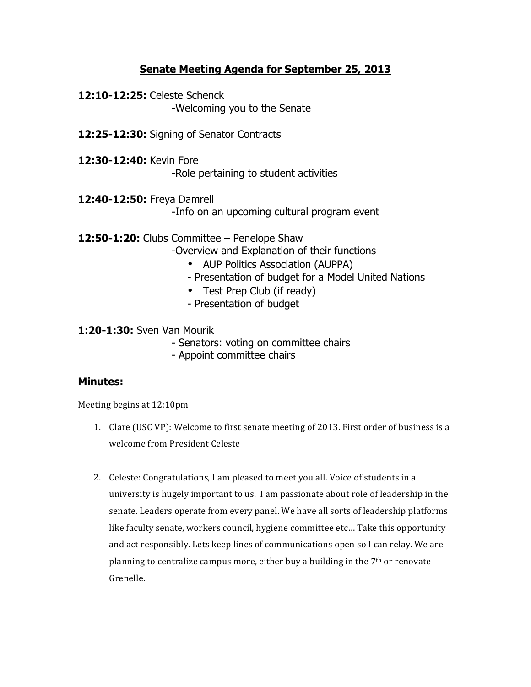## **Senate Meeting Agenda for September 25, 2013**

- **12:10-12:25:** Celeste Schenck -Welcoming you to the Senate
- **12:25-12:30:** Signing of Senator Contracts
- **12:30-12:40:** Kevin Fore -Role pertaining to student activities
- **12:40-12:50:** Freya Damrell

-Info on an upcoming cultural program event

**12:50-1:20:** Clubs Committee – Penelope Shaw

-Overview and Explanation of their functions

- AUP Politics Association (AUPPA)
- Presentation of budget for a Model United Nations
- Test Prep Club (if ready)
- Presentation of budget

**1:20-1:30:** Sven Van Mourik

- Senators: voting on committee chairs
- Appoint committee chairs

## **Minutes:**

Meeting begins at 12:10pm

- 1. Clare (USC VP): Welcome to first senate meeting of 2013. First order of business is a welcome from President Celeste
- 2. Celeste: Congratulations, I am pleased to meet you all. Voice of students in a university is hugely important to us. I am passionate about role of leadership in the senate. Leaders operate from every panel. We have all sorts of leadership platforms like faculty senate, workers council, hygiene committee etc... Take this opportunity and act responsibly. Lets keep lines of communications open so I can relay. We are planning to centralize campus more, either buy a building in the  $7<sup>th</sup>$  or renovate Grenelle.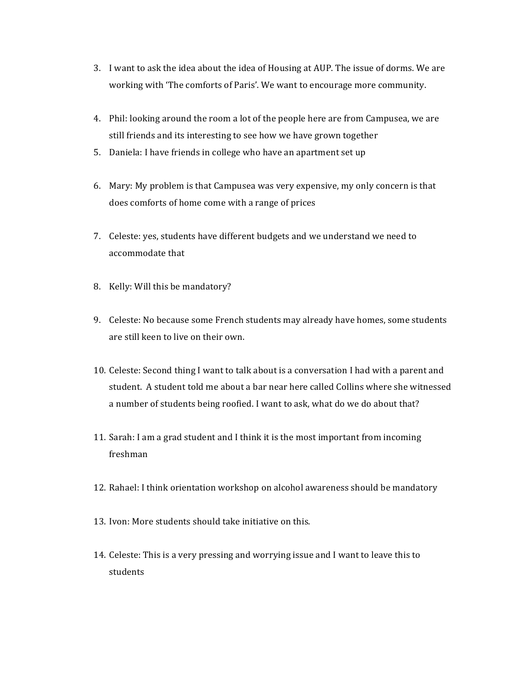- 3. I want to ask the idea about the idea of Housing at AUP. The issue of dorms. We are working with 'The comforts of Paris'. We want to encourage more community.
- 4. Phil: looking around the room a lot of the people here are from Campusea, we are still friends and its interesting to see how we have grown together
- 5. Daniela: I have friends in college who have an apartment set up
- 6. Mary: My problem is that Campusea was very expensive, my only concern is that does comforts of home come with a range of prices
- 7. Celeste: yes, students have different budgets and we understand we need to accommodate that
- 8. Kelly: Will this be mandatory?
- 9. Celeste: No because some French students may already have homes, some students are still keen to live on their own.
- 10. Celeste: Second thing I want to talk about is a conversation I had with a parent and student. A student told me about a bar near here called Collins where she witnessed a number of students being roofied. I want to ask, what do we do about that?
- 11. Sarah: I am a grad student and I think it is the most important from incoming freshman
- 12. Rahael: I think orientation workshop on alcohol awareness should be mandatory
- 13. Ivon: More students should take initiative on this.
- 14. Celeste: This is a very pressing and worrying issue and I want to leave this to students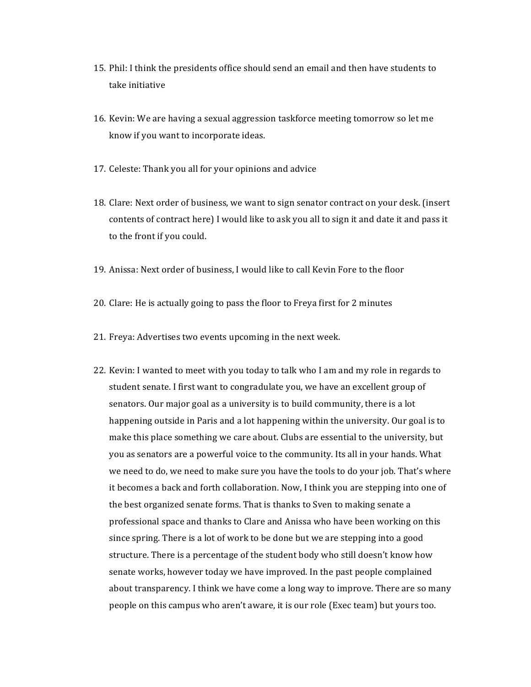- 15. Phil: I think the presidents office should send an email and then have students to take initiative
- 16. Kevin: We are having a sexual aggression taskforce meeting tomorrow so let me know if you want to incorporate ideas.
- 17. Celeste: Thank you all for your opinions and advice
- 18. Clare: Next order of business, we want to sign senator contract on your desk. (insert contents of contract here) I would like to ask you all to sign it and date it and pass it to the front if you could.
- 19. Anissa: Next order of business. I would like to call Kevin Fore to the floor
- 20. Clare: He is actually going to pass the floor to Freya first for 2 minutes
- 21. Freya: Advertises two events upcoming in the next week.
- 22. Kevin: I wanted to meet with you today to talk who I am and my role in regards to student senate. I first want to congradulate you, we have an excellent group of senators. Our major goal as a university is to build community, there is a lot happening outside in Paris and a lot happening within the university. Our goal is to make this place something we care about. Clubs are essential to the university, but you as senators are a powerful voice to the community. Its all in your hands. What we need to do, we need to make sure you have the tools to do your job. That's where it becomes a back and forth collaboration. Now, I think you are stepping into one of the best organized senate forms. That is thanks to Sven to making senate a professional space and thanks to Clare and Anissa who have been working on this since spring. There is a lot of work to be done but we are stepping into a good structure. There is a percentage of the student body who still doesn't know how senate works, however today we have improved. In the past people complained about transparency. I think we have come a long way to improve. There are so many people on this campus who aren't aware, it is our role (Exec team) but yours too.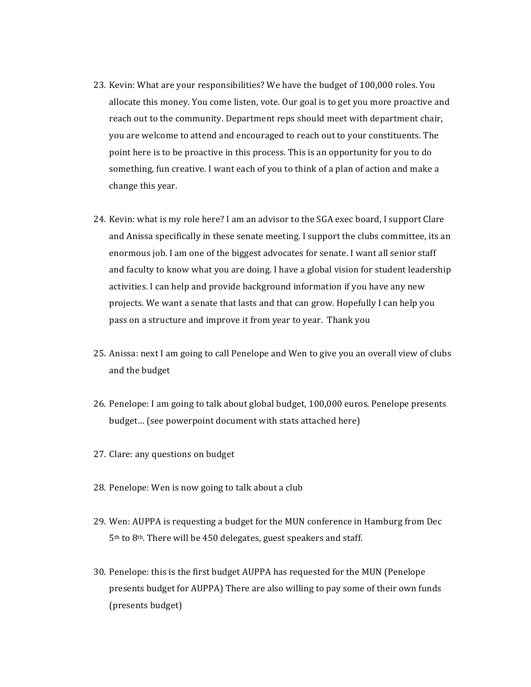- 23. Kevin: What are your responsibilities? We have the budget of 100,000 roles. You allocate this money. You come listen, vote. Our goal is to get you more proactive and reach out to the community. Department reps should meet with department chair, you are welcome to attend and encouraged to reach out to your constituents. The point here is to be proactive in this process. This is an opportunity for you to do something, fun creative. I want each of you to think of a plan of action and make a change this year.
- 24. Kevin: what is my role here? I am an advisor to the SGA exec board, I support Clare and Anissa specifically in these senate meeting. I support the clubs committee, its an enormous job. I am one of the biggest advocates for senate. I want all senior staff and faculty to know what you are doing. I have a global vision for student leadership activities. I can help and provide background information if you have any new projects. We want a senate that lasts and that can grow. Hopefully I can help you pass on a structure and improve it from year to year. Thank you
- 25. Anissa: next I am going to call Penelope and Wen to give you an overall view of clubs and the budget
- 26. Penelope: I am going to talk about global budget, 100,000 euros. Penelope presents budget... (see powerpoint document with stats attached here)
- 27. Clare: any questions on budget
- 28. Penelope: Wen is now going to talk about a club
- 29. Wen: AUPPA is requesting a budget for the MUN conference in Hamburg from Dec 5<sup>th</sup> to 8<sup>th</sup>. There will be 450 delegates, guest speakers and staff.
- 30. Penelope: this is the first budget AUPPA has requested for the MUN (Penelope presents budget for AUPPA) There are also willing to pay some of their own funds (presents budget)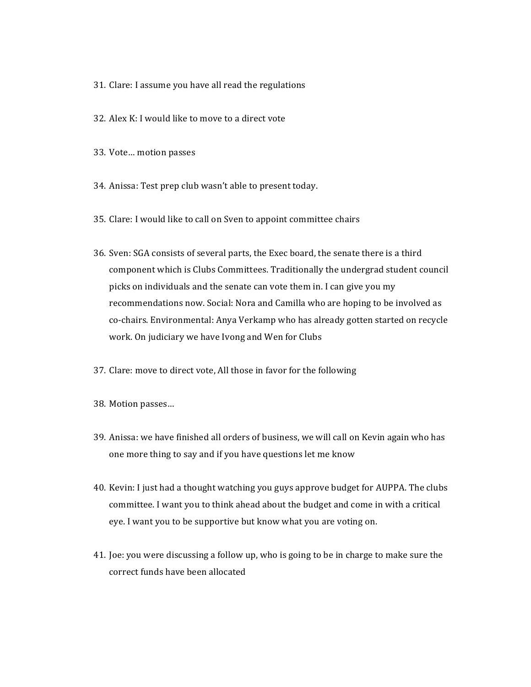- 31. Clare: I assume you have all read the regulations
- 32. Alex K: I would like to move to a direct vote
- 33. Vote... motion passes
- 34. Anissa: Test prep club wasn't able to present today.
- 35. Clare: I would like to call on Sven to appoint committee chairs
- 36. Sven: SGA consists of several parts, the Exec board, the senate there is a third component which is Clubs Committees. Traditionally the undergrad student council picks on individuals and the senate can vote them in. I can give you my recommendations now. Social: Nora and Camilla who are hoping to be involved as co-chairs. Environmental: Anya Verkamp who has already gotten started on recycle work. On judiciary we have Ivong and Wen for Clubs
- 37. Clare: move to direct vote, All those in favor for the following
- 38. Motion passes...
- 39. Anissa: we have finished all orders of business, we will call on Kevin again who has one more thing to say and if you have questions let me know
- 40. Kevin: I just had a thought watching you guys approve budget for AUPPA. The clubs committee. I want you to think ahead about the budget and come in with a critical eye. I want you to be supportive but know what you are voting on.
- 41. Joe: you were discussing a follow up, who is going to be in charge to make sure the correct funds have been allocated